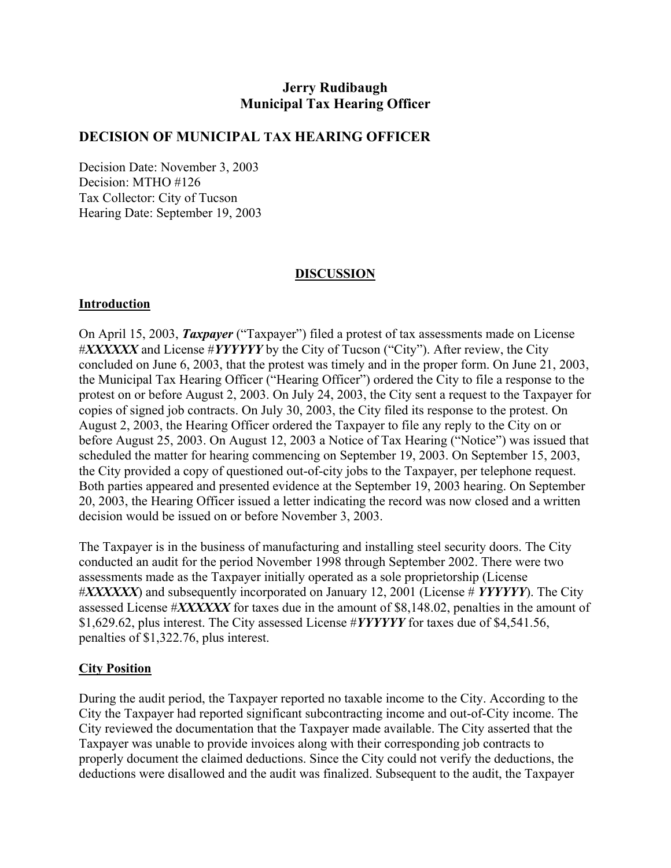# **Jerry Rudibaugh Municipal Tax Hearing Officer**

## **DECISION OF MUNICIPAL TAX HEARING OFFICER**

Decision Date: November 3, 2003 Decision: MTHO #126 Tax Collector: City of Tucson Hearing Date: September 19, 2003

### **DISCUSSION**

#### **Introduction**

On April 15, 2003, *Taxpayer* ("Taxpayer") filed a protest of tax assessments made on License #*XXXXXX* and License #*YYYYYY* by the City of Tucson ("City"). After review, the City concluded on June 6, 2003, that the protest was timely and in the proper form. On June 21, 2003, the Municipal Tax Hearing Officer ("Hearing Officer") ordered the City to file a response to the protest on or before August 2, 2003. On July 24, 2003, the City sent a request to the Taxpayer for copies of signed job contracts. On July 30, 2003, the City filed its response to the protest. On August 2, 2003, the Hearing Officer ordered the Taxpayer to file any reply to the City on or before August 25, 2003. On August 12, 2003 a Notice of Tax Hearing ("Notice") was issued that scheduled the matter for hearing commencing on September 19, 2003. On September 15, 2003, the City provided a copy of questioned out-of-city jobs to the Taxpayer, per telephone request. Both parties appeared and presented evidence at the September 19, 2003 hearing. On September 20, 2003, the Hearing Officer issued a letter indicating the record was now closed and a written decision would be issued on or before November 3, 2003.

The Taxpayer is in the business of manufacturing and installing steel security doors. The City conducted an audit for the period November 1998 through September 2002. There were two assessments made as the Taxpayer initially operated as a sole proprietorship (License #*XXXXXX*) and subsequently incorporated on January 12, 2001 (License # *YYYYYY*). The City assessed License #*XXXXXX* for taxes due in the amount of \$8,148.02, penalties in the amount of \$1,629.62, plus interest. The City assessed License #*YYYYYY* for taxes due of \$4,541.56, penalties of \$1,322.76, plus interest.

### **City Position**

During the audit period, the Taxpayer reported no taxable income to the City. According to the City the Taxpayer had reported significant subcontracting income and out-of-City income. The City reviewed the documentation that the Taxpayer made available. The City asserted that the Taxpayer was unable to provide invoices along with their corresponding job contracts to properly document the claimed deductions. Since the City could not verify the deductions, the deductions were disallowed and the audit was finalized. Subsequent to the audit, the Taxpayer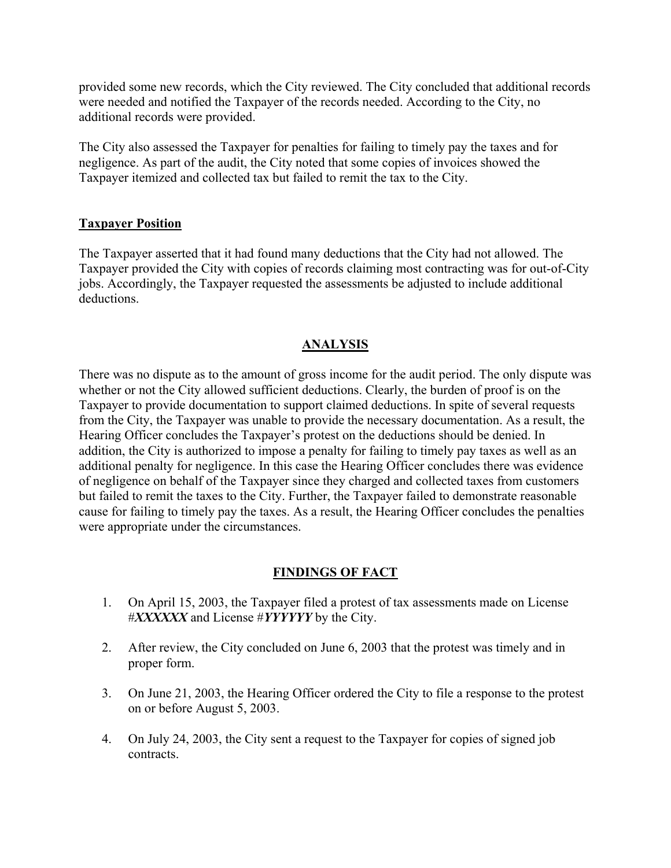provided some new records, which the City reviewed. The City concluded that additional records were needed and notified the Taxpayer of the records needed. According to the City, no additional records were provided.

The City also assessed the Taxpayer for penalties for failing to timely pay the taxes and for negligence. As part of the audit, the City noted that some copies of invoices showed the Taxpayer itemized and collected tax but failed to remit the tax to the City.

#### **Taxpayer Position**

The Taxpayer asserted that it had found many deductions that the City had not allowed. The Taxpayer provided the City with copies of records claiming most contracting was for out-of-City jobs. Accordingly, the Taxpayer requested the assessments be adjusted to include additional deductions.

## **ANALYSIS**

There was no dispute as to the amount of gross income for the audit period. The only dispute was whether or not the City allowed sufficient deductions. Clearly, the burden of proof is on the Taxpayer to provide documentation to support claimed deductions. In spite of several requests from the City, the Taxpayer was unable to provide the necessary documentation. As a result, the Hearing Officer concludes the Taxpayer's protest on the deductions should be denied. In addition, the City is authorized to impose a penalty for failing to timely pay taxes as well as an additional penalty for negligence. In this case the Hearing Officer concludes there was evidence of negligence on behalf of the Taxpayer since they charged and collected taxes from customers but failed to remit the taxes to the City. Further, the Taxpayer failed to demonstrate reasonable cause for failing to timely pay the taxes. As a result, the Hearing Officer concludes the penalties were appropriate under the circumstances.

### **FINDINGS OF FACT**

- 1. On April 15, 2003, the Taxpayer filed a protest of tax assessments made on License #*XXXXXX* and License #*YYYYYY* by the City.
- 2. After review, the City concluded on June 6, 2003 that the protest was timely and in proper form.
- 3. On June 21, 2003, the Hearing Officer ordered the City to file a response to the protest on or before August 5, 2003.
- 4. On July 24, 2003, the City sent a request to the Taxpayer for copies of signed job contracts.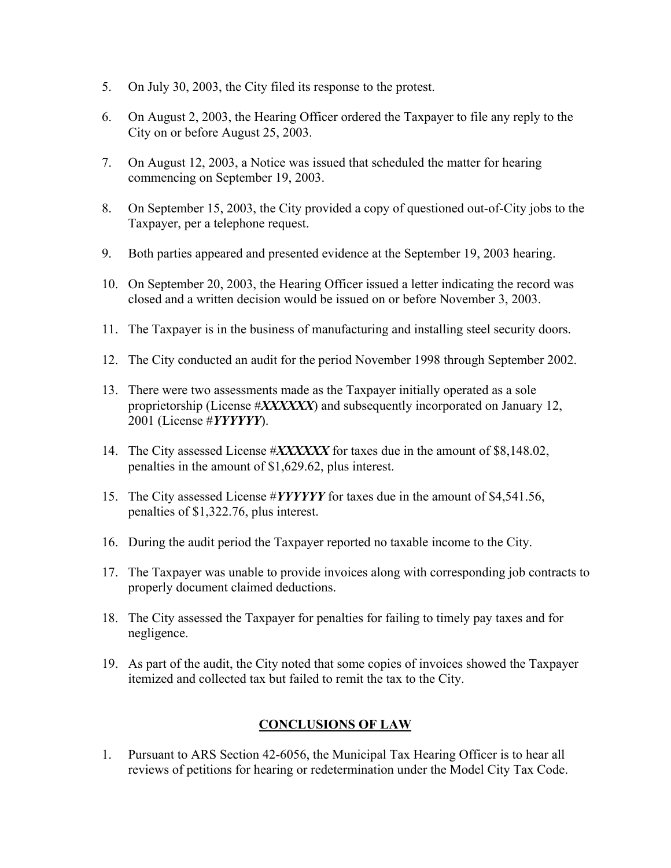- 5. On July 30, 2003, the City filed its response to the protest.
- 6. On August 2, 2003, the Hearing Officer ordered the Taxpayer to file any reply to the City on or before August 25, 2003.
- 7. On August 12, 2003, a Notice was issued that scheduled the matter for hearing commencing on September 19, 2003.
- 8. On September 15, 2003, the City provided a copy of questioned out-of-City jobs to the Taxpayer, per a telephone request.
- 9. Both parties appeared and presented evidence at the September 19, 2003 hearing.
- 10. On September 20, 2003, the Hearing Officer issued a letter indicating the record was closed and a written decision would be issued on or before November 3, 2003.
- 11. The Taxpayer is in the business of manufacturing and installing steel security doors.
- 12. The City conducted an audit for the period November 1998 through September 2002.
- 13. There were two assessments made as the Taxpayer initially operated as a sole proprietorship (License #*XXXXXX*) and subsequently incorporated on January 12, 2001 (License #*YYYYYY*).
- 14. The City assessed License #*XXXXXX* for taxes due in the amount of \$8,148.02, penalties in the amount of \$1,629.62, plus interest.
- 15. The City assessed License #*YYYYYY* for taxes due in the amount of \$4,541.56, penalties of \$1,322.76, plus interest.
- 16. During the audit period the Taxpayer reported no taxable income to the City.
- 17. The Taxpayer was unable to provide invoices along with corresponding job contracts to properly document claimed deductions.
- 18. The City assessed the Taxpayer for penalties for failing to timely pay taxes and for negligence.
- 19. As part of the audit, the City noted that some copies of invoices showed the Taxpayer itemized and collected tax but failed to remit the tax to the City.

# **CONCLUSIONS OF LAW**

1. Pursuant to ARS Section 42-6056, the Municipal Tax Hearing Officer is to hear all reviews of petitions for hearing or redetermination under the Model City Tax Code.